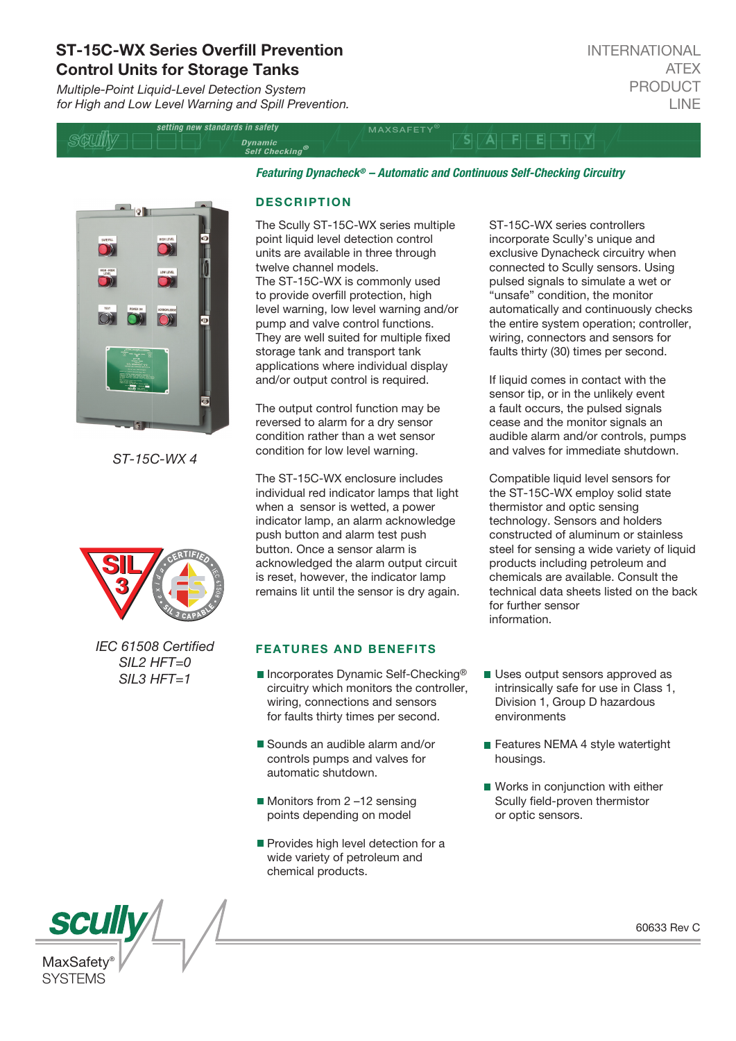# ST-15C-WX Series Overfill Prevention Control Units for Storage Tanks

*Multiple-Point Liquid-Level Detection System for High and Low Level Warning and Spill Prevention.*

| setting new standards in safety |                                              | <b>MAXSAFFTY</b> |  |  |
|---------------------------------|----------------------------------------------|------------------|--|--|
|                                 | <i>Dynamic</i><br>Self Checking <sup>®</sup> |                  |  |  |
|                                 |                                              |                  |  |  |

*Featuring Dynacheck® – Automatic and Continuous Self-Checking Circuitry* 



*ST-15C-WX 4*



*IEC 61508 Certied SIL2 HFT=0 SIL3 HFT=1*

### **DESCRIPTION**

The Scully ST-15C-WX series multiple point liquid level detection control units are available in three through twelve channel models. The ST-15C-WX is commonly used to provide overfill protection, high level warning, low level warning and/or pump and valve control functions. They are well suited for multiple fixed storage tank and transport tank applications where individual display and/or output control is required.

The output control function may be reversed to alarm for a dry sensor condition rather than a wet sensor condition for low level warning.

The ST-15C-WX enclosure includes individual red indicator lamps that light when a sensor is wetted, a power indicator lamp, an alarm acknowledge push button and alarm test push button. Once a sensor alarm is acknowledged the alarm output circuit is reset, however, the indicator lamp remains lit until the sensor is dry again.

## FEATURES AND BENEFITS

- Incorporates Dynamic Self-Checking<sup>®</sup> circuitry which monitors the controller, wiring, connections and sensors for faults thirty times per second.
- Sounds an audible alarm and/or controls pumps and valves for automatic shutdown.
- Monitors from 2-12 sensing points depending on model
- Provides high level detection for a wide variety of petroleum and chemical products.

ST-15C-WX series controllers incorporate Scully's unique and exclusive Dynacheck circuitry when connected to Scully sensors. Using pulsed signals to simulate a wet or "unsafe" condition, the monitor automatically and continuously checks the entire system operation; controller, wiring, connectors and sensors for faults thirty (30) times per second.

If liquid comes in contact with the sensor tip, or in the unlikely event a fault occurs, the pulsed signals cease and the monitor signals an audible alarm and/or controls, pumps and valves for immediate shutdown.

Compatible liquid level sensors for the ST-15C-WX employ solid state thermistor and optic sensing technology. Sensors and holders constructed of aluminum or stainless steel for sensing a wide variety of liquid products including petroleum and chemicals are available. Consult the technical data sheets listed on the back for further sensor information.

- Uses output sensors approved as intrinsically safe for use in Class 1, Division 1, Group D hazardous environments
- Features NEMA 4 style watertight housings.
- Works in conjunction with either Scully field-proven thermistor or optic sensors.

60633 Rev C